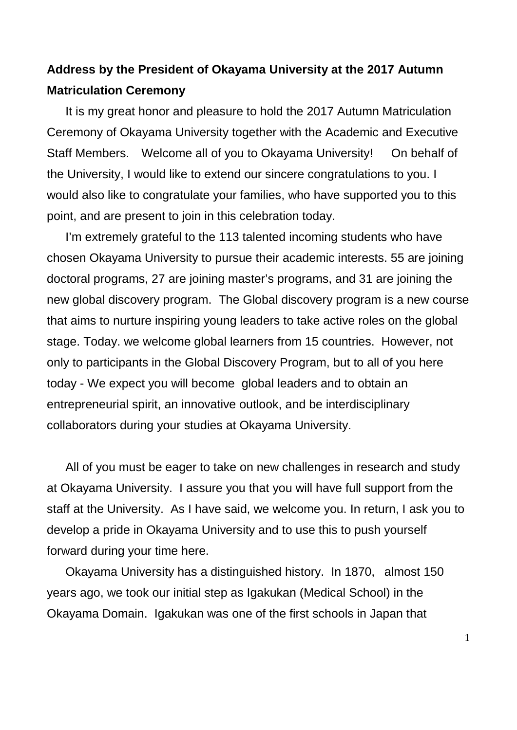## **Address by the President of Okayama University at the 2017 Autumn Matriculation Ceremony**

It is my great honor and pleasure to hold the 2017 Autumn Matriculation Ceremony of Okayama University together with the Academic and Executive Staff Members. Welcome all of you to Okayama University! On behalf of the University, I would like to extend our sincere congratulations to you. I would also like to congratulate your families, who have supported you to this point, and are present to join in this celebration today.

I'm extremely grateful to the 113 talented incoming students who have chosen Okayama University to pursue their academic interests. 55 are joining doctoral programs, 27 are joining master's programs, and 31 are joining the new global discovery program. The Global discovery program is a new course that aims to nurture inspiring young leaders to take active roles on the global stage. Today. we welcome global learners from 15 countries. However, not only to participants in the Global Discovery Program, but to all of you here today - We expect you will become global leaders and to obtain an entrepreneurial spirit, an innovative outlook, and be interdisciplinary collaborators during your studies at Okayama University.

All of you must be eager to take on new challenges in research and study at Okayama University. I assure you that you will have full support from the staff at the University. As I have said, we welcome you. In return, I ask you to develop a pride in Okayama University and to use this to push yourself forward during your time here.

Okayama University has a distinguished history. In 1870, almost 150 years ago, we took our initial step as Igakukan (Medical School) in the Okayama Domain. Igakukan was one of the first schools in Japan that

1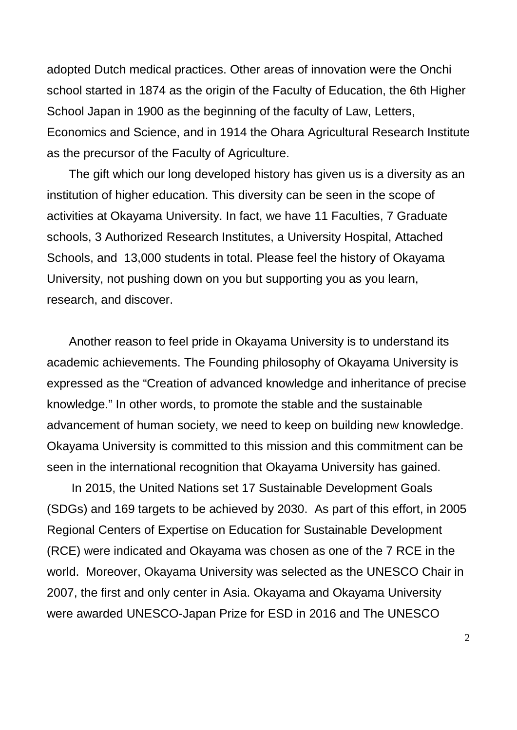adopted Dutch medical practices. Other areas of innovation were the Onchi school started in 1874 as the origin of the Faculty of Education, the 6th Higher School Japan in 1900 as the beginning of the faculty of Law, Letters, Economics and Science, and in 1914 the Ohara Agricultural Research Institute as the precursor of the Faculty of Agriculture.

The gift which our long developed history has given us is a diversity as an institution of higher education. This diversity can be seen in the scope of activities at Okayama University. In fact, we have 11 Faculties, 7 Graduate schools, 3 Authorized Research Institutes, a University Hospital, Attached Schools, and 13,000 students in total. Please feel the history of Okayama University, not pushing down on you but supporting you as you learn, research, and discover.

Another reason to feel pride in Okayama University is to understand its academic achievements. The Founding philosophy of Okayama University is expressed as the "Creation of advanced knowledge and inheritance of precise knowledge." In other words, to promote the stable and the sustainable advancement of human society, we need to keep on building new knowledge. Okayama University is committed to this mission and this commitment can be seen in the international recognition that Okayama University has gained.

In 2015, the United Nations set 17 Sustainable Development Goals (SDGs) and 169 targets to be achieved by 2030. As part of this effort, in 2005 Regional Centers of Expertise on Education for Sustainable Development (RCE) were indicated and Okayama was chosen as one of the 7 RCE in the world. Moreover, Okayama University was selected as the UNESCO Chair in 2007, the first and only center in Asia. Okayama and Okayama University were awarded UNESCO-Japan Prize for ESD in 2016 and The UNESCO

2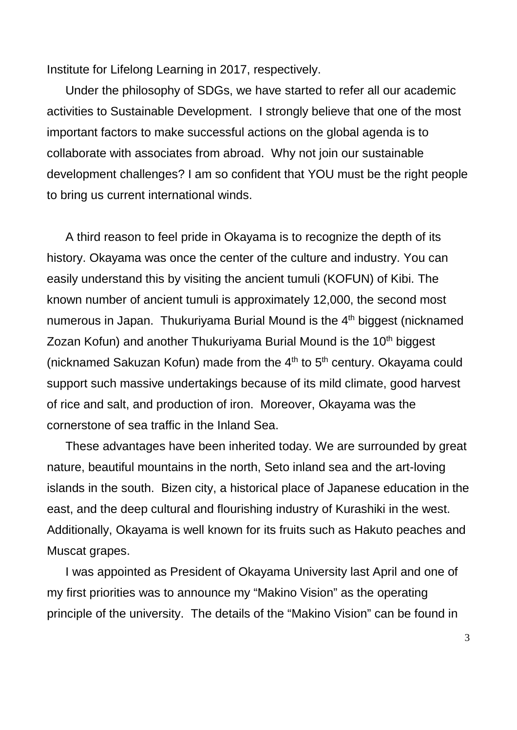Institute for Lifelong Learning in 2017, respectively.

Under the philosophy of SDGs, we have started to refer all our academic activities to Sustainable Development. I strongly believe that one of the most important factors to make successful actions on the global agenda is to collaborate with associates from abroad. Why not join our sustainable development challenges? I am so confident that YOU must be the right people to bring us current international winds.

A third reason to feel pride in Okayama is to recognize the depth of its history. Okayama was once the center of the culture and industry. You can easily understand this by visiting the ancient tumuli (KOFUN) of Kibi. The known number of ancient tumuli is approximately 12,000, the second most numerous in Japan. Thukuriyama Burial Mound is the 4<sup>th</sup> biggest (nicknamed Zozan Kofun) and another Thukuriyama Burial Mound is the 10<sup>th</sup> biggest (nicknamed Sakuzan Kofun) made from the  $4<sup>th</sup>$  to  $5<sup>th</sup>$  century. Okayama could support such massive undertakings because of its mild climate, good harvest of rice and salt, and production of iron. Moreover, Okayama was the cornerstone of sea traffic in the Inland Sea.

These advantages have been inherited today. We are surrounded by great nature, beautiful mountains in the north, Seto inland sea and the art-loving islands in the south. Bizen city, a historical place of Japanese education in the east, and the deep cultural and flourishing industry of Kurashiki in the west. Additionally, Okayama is well known for its fruits such as Hakuto peaches and Muscat grapes.

I was appointed as President of Okayama University last April and one of my first priorities was to announce my "Makino Vision" as the operating principle of the university. The details of the "Makino Vision" can be found in